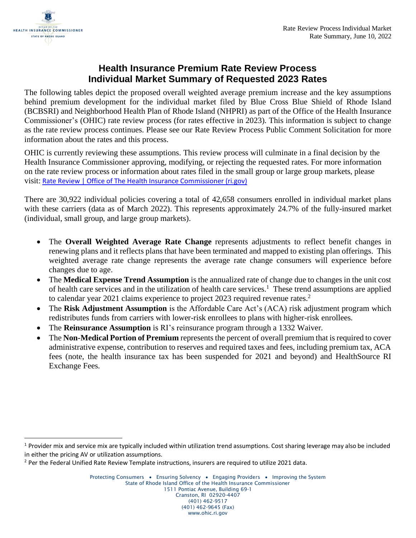

## **Health Insurance Premium Rate Review Process Individual Market Summary of Requested 2023 Rates**

The following tables depict the proposed overall weighted average premium increase and the key assumptions behind premium development for the individual market filed by Blue Cross Blue Shield of Rhode Island (BCBSRI) and Neighborhood Health Plan of Rhode Island (NHPRI) as part of the Office of the Health Insurance Commissioner's (OHIC) rate review process (for rates effective in 2023). This information is subject to change as the rate review process continues. Please see our Rate Review Process Public Comment Solicitation for more information about the rates and this process.

OHIC is currently reviewing these assumptions. This review process will culminate in a final decision by the Health Insurance Commissioner approving, modifying, or rejecting the requested rates. For more information on the rate review process or information about rates filed in the small group or large group markets, please visit: [Rate Review | Office of The Health Insurance Commissioner \(ri.gov\)](https://ohic.ri.gov/regulatory-review/rate-review)

There are 30,922 individual policies covering a total of 42,658 consumers enrolled in individual market plans with these carriers (data as of March 2022). This represents approximately 24.7% of the fully-insured market (individual, small group, and large group markets).

- The **Overall Weighted Average Rate Change** represents adjustments to reflect benefit changes in renewing plans and it reflects plans that have been terminated and mapped to existing plan offerings. This weighted average rate change represents the average rate change consumers will experience before changes due to age.
- The **Medical Expense Trend Assumption** is the annualized rate of change due to changes in the unit cost of health care services and in the utilization of health care services.<sup>1</sup> These trend assumptions are applied to calendar year 2021 claims experience to project 2023 required revenue rates.<sup>2</sup>
- The **Risk Adjustment Assumption** is the Affordable Care Act's (ACA) risk adjustment program which redistributes funds from carriers with lower-risk enrollees to plans with higher-risk enrollees.
- The **Reinsurance Assumption** is RI's reinsurance program through a 1332 Waiver.
- The **Non-Medical Portion of Premium** represents the percent of overall premium that is required to cover administrative expense, contribution to reserves and required taxes and fees, including premium tax, ACA fees (note, the health insurance tax has been suspended for 2021 and beyond) and HealthSource RI Exchange Fees.

 $1$  Provider mix and service mix are typically included within utilization trend assumptions. Cost sharing leverage may also be included in either the pricing AV or utilization assumptions.

<sup>&</sup>lt;sup>2</sup> Per the Federal Unified Rate Review Template instructions, insurers are required to utilize 2021 data.